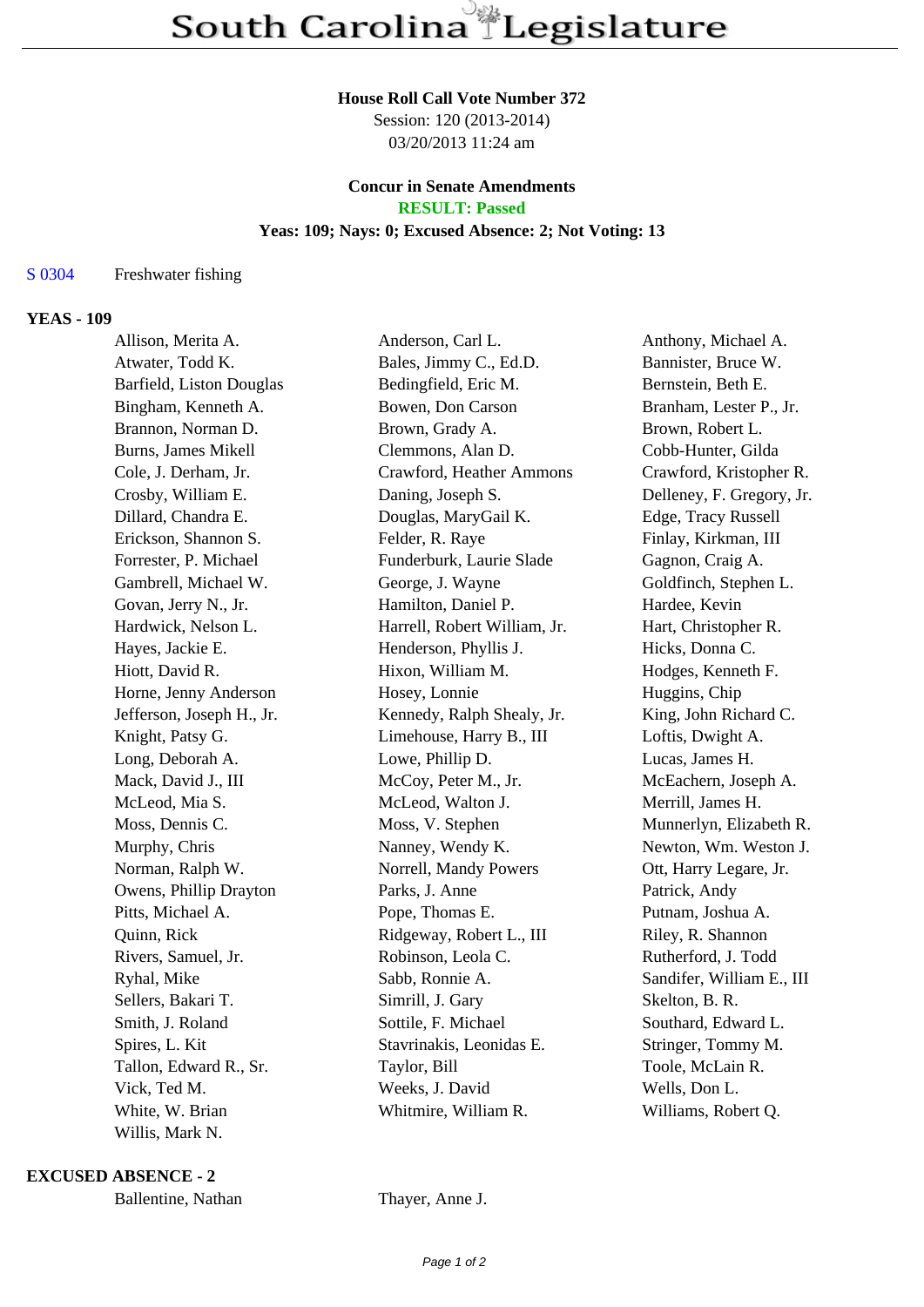#### **House Roll Call Vote Number 372**

Session: 120 (2013-2014) 03/20/2013 11:24 am

## **Concur in Senate Amendments RESULT: Passed**

#### **Yeas: 109; Nays: 0; Excused Absence: 2; Not Voting: 13**

# S 0304 Freshwater fishing

## **YEAS - 109**

| Allison, Merita A.         | Anderson, Carl L.            | Anthony, Michael A.       |
|----------------------------|------------------------------|---------------------------|
| Atwater, Todd K.           | Bales, Jimmy C., Ed.D.       | Bannister, Bruce W.       |
| Barfield, Liston Douglas   | Bedingfield, Eric M.         | Bernstein, Beth E.        |
| Bingham, Kenneth A.        | Bowen, Don Carson            | Branham, Lester P., Jr.   |
| Brannon, Norman D.         | Brown, Grady A.              | Brown, Robert L.          |
| <b>Burns, James Mikell</b> | Clemmons, Alan D.            | Cobb-Hunter, Gilda        |
| Cole, J. Derham, Jr.       | Crawford, Heather Ammons     | Crawford, Kristopher R.   |
| Crosby, William E.         | Daning, Joseph S.            | Delleney, F. Gregory, Jr. |
| Dillard, Chandra E.        | Douglas, MaryGail K.         | Edge, Tracy Russell       |
| Erickson, Shannon S.       | Felder, R. Raye              | Finlay, Kirkman, III      |
| Forrester, P. Michael      | Funderburk, Laurie Slade     | Gagnon, Craig A.          |
| Gambrell, Michael W.       | George, J. Wayne             | Goldfinch, Stephen L.     |
| Govan, Jerry N., Jr.       | Hamilton, Daniel P.          | Hardee, Kevin             |
| Hardwick, Nelson L.        | Harrell, Robert William, Jr. | Hart, Christopher R.      |
| Hayes, Jackie E.           | Henderson, Phyllis J.        | Hicks, Donna C.           |
| Hiott, David R.            | Hixon, William M.            | Hodges, Kenneth F.        |
| Horne, Jenny Anderson      | Hosey, Lonnie                | Huggins, Chip             |
| Jefferson, Joseph H., Jr.  | Kennedy, Ralph Shealy, Jr.   | King, John Richard C.     |
| Knight, Patsy G.           | Limehouse, Harry B., III     | Loftis, Dwight A.         |
| Long, Deborah A.           | Lowe, Phillip D.             | Lucas, James H.           |
| Mack, David J., III        | McCoy, Peter M., Jr.         | McEachern, Joseph A.      |
| McLeod, Mia S.             | McLeod, Walton J.            | Merrill, James H.         |
| Moss, Dennis C.            | Moss, V. Stephen             | Munnerlyn, Elizabeth R.   |
| Murphy, Chris              | Nanney, Wendy K.             | Newton, Wm. Weston J.     |
| Norman, Ralph W.           | Norrell, Mandy Powers        | Ott, Harry Legare, Jr.    |
| Owens, Phillip Drayton     | Parks, J. Anne               | Patrick, Andy             |
| Pitts, Michael A.          | Pope, Thomas E.              | Putnam, Joshua A.         |
| Quinn, Rick                | Ridgeway, Robert L., III     | Riley, R. Shannon         |
| Rivers, Samuel, Jr.        | Robinson, Leola C.           | Rutherford, J. Todd       |
| Ryhal, Mike                | Sabb, Ronnie A.              | Sandifer, William E., III |
| Sellers, Bakari T.         | Simrill, J. Gary             | Skelton, B. R.            |
| Smith, J. Roland           | Sottile, F. Michael          | Southard, Edward L.       |
| Spires, L. Kit             | Stavrinakis, Leonidas E.     | Stringer, Tommy M.        |
| Tallon, Edward R., Sr.     | Taylor, Bill                 | Toole, McLain R.          |
| Vick, Ted M.               | Weeks, J. David              | Wells, Don L.             |
| White, W. Brian            | Whitmire, William R.         | Williams, Robert Q.       |
| Willis, Mark N.            |                              |                           |

**EXCUSED ABSENCE - 2**

Ballentine, Nathan Thayer, Anne J.